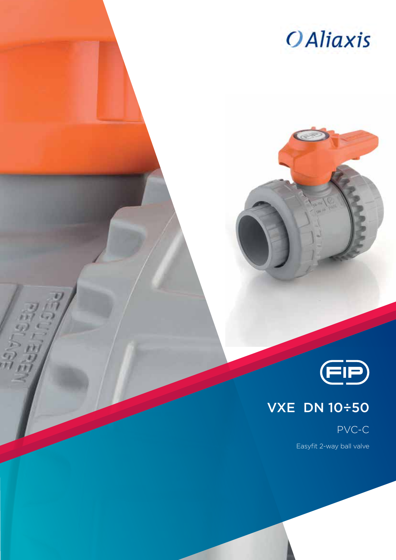



### VXE DN 10÷50

PVC-C

Easyfit 2-way ball valve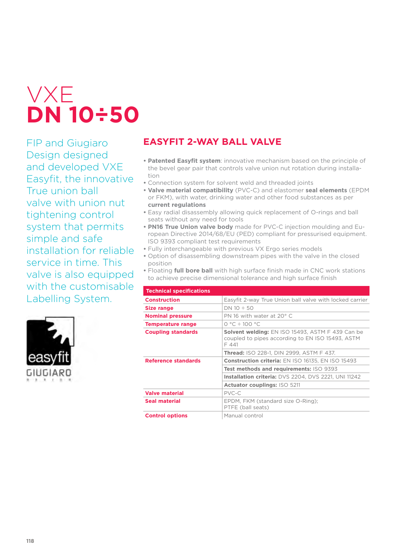# VXE **DN 10÷50**

FIP and Giugiaro Design designed and developed VXE Easyfit, the innovative True union ball valve with union nut tightening control system that permits simple and safe installation for reliable service in time. This valve is also equipped with the customisable Labelling System.



### **EASYFIT 2-WAY BALL VALVE**

- **• Patented Easyfit system**: innovative mechanism based on the principle of the bevel gear pair that controls valve union nut rotation during installation
- **•** Connection system for solvent weld and threaded joints
- **• Valve material compatibility** (PVC-C) and elastomer **seal elements** (EPDM or FKM), with water, drinking water and other food substances as per **current regulations**
- **•** Easy radial disassembly allowing quick replacement of O-rings and ball seats without any need for tools
- **• PN16 True Union valve body** made for PVC-C injection moulding and European Directive 2014/68/EU (PED) compliant for pressurised equipment. ISO 9393 compliant test requirements
- **•** Fully interchangeable with previous VX Ergo series models
- **•** Option of disassembling downstream pipes with the valve in the closed position
- **•** Floating **full bore ball** with high surface finish made in CNC work stations to achieve precise dimensional tolerance and high surface finish

| <b>Technical specifications</b> |                                                                                                                      |  |  |  |  |  |
|---------------------------------|----------------------------------------------------------------------------------------------------------------------|--|--|--|--|--|
| <b>Construction</b>             | Easyfit 2-way True Union ball valve with locked carrier                                                              |  |  |  |  |  |
| Size range                      | $DN 10 \div 50$                                                                                                      |  |  |  |  |  |
| <b>Nominal pressure</b>         | PN 16 with water at 20° C                                                                                            |  |  |  |  |  |
| Temperature range               | $0 °C \div 100 °C$                                                                                                   |  |  |  |  |  |
| <b>Coupling standards</b>       | <b>Solvent welding: EN ISO 15493, ASTM F 439 Can be</b><br>coupled to pipes according to EN ISO 15493, ASTM<br>F 441 |  |  |  |  |  |
|                                 | <b>Thread: ISO 228-1, DIN 2999, ASTM F 437.</b>                                                                      |  |  |  |  |  |
| Reference standards             | <b>Construction criteria: EN ISO 16135, EN ISO 15493</b>                                                             |  |  |  |  |  |
|                                 | <b>Test methods and requirements: ISO 9393</b>                                                                       |  |  |  |  |  |
|                                 | Installation criteria: DVS 2204, DVS 2221, UNI 11242                                                                 |  |  |  |  |  |
|                                 | <b>Actuator couplings: ISO 5211</b>                                                                                  |  |  |  |  |  |
| <b>Valve material</b>           | PVC-C                                                                                                                |  |  |  |  |  |
| <b>Seal material</b>            | EPDM, FKM (standard size O-Ring);<br>PTFE (ball seats)                                                               |  |  |  |  |  |
| <b>Control options</b>          | Manual control                                                                                                       |  |  |  |  |  |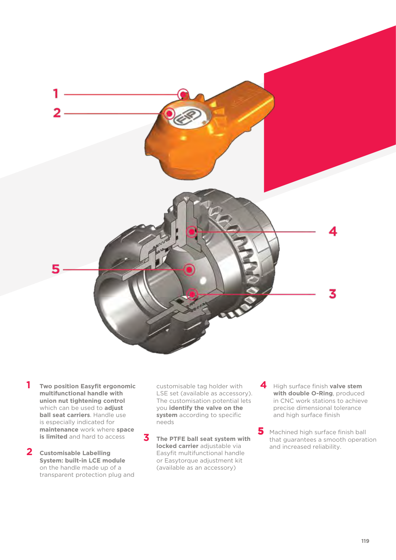

- **1 Two position Easyfit ergonomic multifunctional handle with union nut tightening control**  which can be used to **adjust ball seat carriers**. Handle use is especially indicated for **maintenance** work where **space is limited** and hard to access
- **2 Customisable Labelling System: built-in LCE module**  on the handle made up of a transparent protection plug and

customisable tag holder with LSE set (available as accessory). The customisation potential lets you **identify the valve on the system** according to specific needs

- **3 The PTFE ball seat system with locked carrier** adjustable via Easyfit multifunctional handle or Easytorque adjustment kit (available as an accessory)
- **4** High surface finish **valve stem with double O-Ring**, produced in CNC work stations to achieve precise dimensional tolerance and high surface finish

Machined high surface finish ball that guarantees a smooth operation and increased reliability. **5**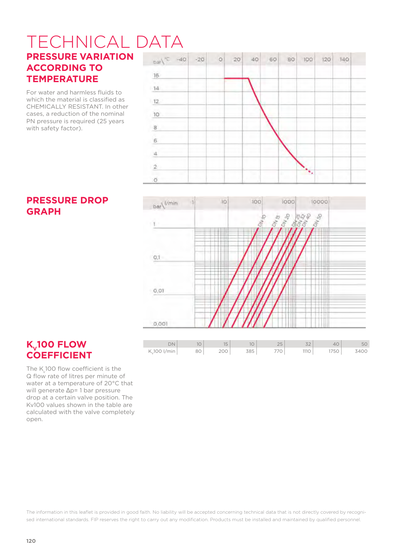#### TECHNICAL DATA**PRESSURE VARIATION ACCORDING TO**   $16$ **TEMPERATURE**

For water and harmless fluids to which the material is classified as CHEMICALLY RESISTANT. In other cases, a reduction of the nominal PN pressure is required (25 years with safety factor).





#### **PRESSURE DROP GRAPH**

### **K<sub>v</sub>100 FLOW COEFFICIENT**

The  $K<sub>v</sub>$ 100 flow coefficient is the Q flow rate of litres per minute of water at a temperature of 20°C that will generate Δp= 1 bar pressure drop at a certain valve position. The Kv100 values shown in the table are calculated with the valve completely open.

The information in this leaflet is provided in good faith. No liability will be accepted concerning technical data that is not directly covered by recognised international standards. FIP reserves the right to carry out any modification. Products must be installed and maintained by qualified personnel.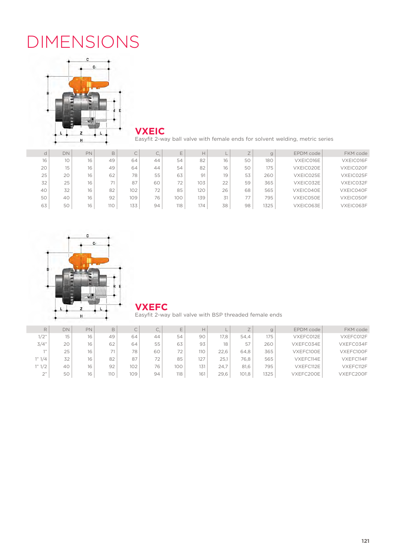## DIMENSIONS



**VXEIC**

Easyfit 2-way ball valve with female ends for solvent welding, metric series

| d  | DN | PN | B   | ◡   |    |     | Н   |    |    |      | EPDM code | FKM code  |
|----|----|----|-----|-----|----|-----|-----|----|----|------|-----------|-----------|
| 16 | 10 | 16 | 49  | 64  | 44 | 54  | 82  | 16 | 50 | 180  | VXEIC016E | VXEIC016F |
| 20 | 15 | 16 | 49  | 64  | 44 | 54  | 82  | 16 | 50 | 175  | VXEIC020E | VXEIC020F |
| 25 | 20 | 16 | 62  | 78  | 55 | 63  | 91  | 19 | 53 | 260  | VXEIC025E | VXEIC025F |
| 32 | 25 | 16 |     | 87  | 60 | 72  | 103 | 22 | 59 | 365  | VXEIC032E | VXEIC032F |
| 40 | 32 | 16 | 82  | 102 | 72 | 85  | 120 | 26 | 68 | 565  | VXEIC040E | VXEIC040F |
| 50 | 40 | 16 | 92  | 109 | 76 | 100 | 139 | 31 | 77 | 795  | VXEIC050E | VXEIC050F |
| 63 | 50 | 16 | 110 | 133 | 94 | 118 | 174 | 38 | 98 | 1325 | VXEIC063E | VXEIC063F |



**VXEFC**

Easyfit 2-way ball valve with BSP threaded female ends

|                   | DN | <b>PN</b> | B     |     | $\sim$<br>Ċ. |     | H   |      | $\rightarrow$ |      | EPDM code | FKM code  |
|-------------------|----|-----------|-------|-----|--------------|-----|-----|------|---------------|------|-----------|-----------|
| 1/2"              | 15 | 16        | 49    | 64  | 44           | 54  | 90  | 17.8 | 54.4          | 175  | VXEFC012E | VXEFC012F |
| 3/4"              | 20 | 16        | 62    | 64  | 55           | 63  | 93  | 18   | 57            | 260  | VXEFC034E | VXEFC034F |
| 7.33              | 25 | 16        | $-11$ | 78  | 60           | 72  | 110 | 22.6 | 64.8          | 365  | VXEFC100E | VXEFC100F |
| 1" 1/4            | 32 | 16        | 82    | 87  | 72           | 85  | 127 | 25.1 | 76.8          | 565  | VXEFC114E | VXEFC114F |
| 1" 1/2            | 40 | 16        | 92    | 102 | 76           | 100 | 131 | 24.7 | 81.6          | 795  | VXEFC112E | VXEFC112F |
| $\bigcap$ 33<br>∼ | 50 | 16        | 110   | 109 | 94           | 118 | 161 | 29.6 | 101,8         | 1325 | VXEFC200E | VXEFC200F |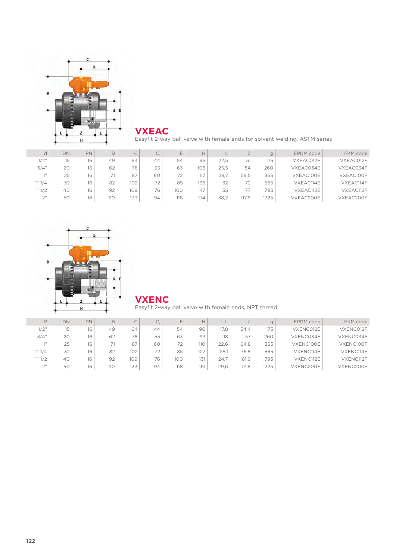

**VXEAC**

Easyfit 2-way ball valve with female ends for solvent welding, ASTM series

| d      | DN               | PN | B      | ◡   | U. | F   | H   |      |      |      | EPDM code | FKM code  |
|--------|------------------|----|--------|-----|----|-----|-----|------|------|------|-----------|-----------|
| 1/2"   | 15 <sub>15</sub> | 16 | 49     | 64  | 44 | 54  | 96  | 22.5 | 51   | 175  | VXEAC012E | VXEAC012F |
| 3/4"   | 20               | 16 | 62     | 78  | 55 | 63  | 105 | 25.5 | 54   | 260  | VXEAC034E | VXEAC034F |
| 711    | 25               | 16 | $\neg$ | 87  | 60 | 72  | 117 | 28.7 | 59,5 | 365  | VXEAC100E | VXEAC100F |
| 1" 1/4 | 32               | 16 | 82     | 102 | 72 | 85  | 136 | 32   | 72   | 565  | VXEAC114E | VXEAC114F |
| 1" 1/2 | 40               | 16 | 92     | 109 | 76 | 100 | 147 | 35   | 77   | 795  | VXEAC112E | VXEAC112F |
| 2"     | 50               | 16 | 110    | 133 | 94 | 118 | 174 | 38,2 | 97,6 | 1325 | VXEAC200E | VXEAC200F |





Easyfit 2-way ball valve with female ends, NPT thread

| R            | <b>DN</b> | PN | B             |     | $\sim$<br>۔ ب |     | Н   |      | $\rightarrow$ | g    | EPDM code | FKM code  |
|--------------|-----------|----|---------------|-----|---------------|-----|-----|------|---------------|------|-----------|-----------|
| 1/2"         | 15        | 16 | 49            | 64  | 44            | 54  | 90  | 17.8 | 54.4          | 175  | VXENC012E | VXENC012F |
| 3/4"         | 20        | 16 | 62            | 78  | 55            | 63  | 93  | 18   | 57            | 260  | VXENC034E | VXENC034F |
| 7.33         | 25        | 16 | $\rightarrow$ | 87  | 60            | 72  | 110 | 22.6 | 64.8          | 365  | VXENC100E | VXENC100F |
| 1" 1/4       | 32        | 16 | 82            | 102 | 72            | 85  | 127 | 25.1 | 76.8          | 565  | VXENC114E | VXENC114F |
| 1" 1/2       | 40        | 16 | 92            | 109 | 76            | 100 | 131 | 24.7 | 81.6          | 795  | VXENC112E | VXENC112F |
| $\bigcap$ 33 | 50        | 16 | 110           | 133 | 94            | 118 | 161 | 29.6 | 101.8         | 1325 | VXENC200E | VXENC200F |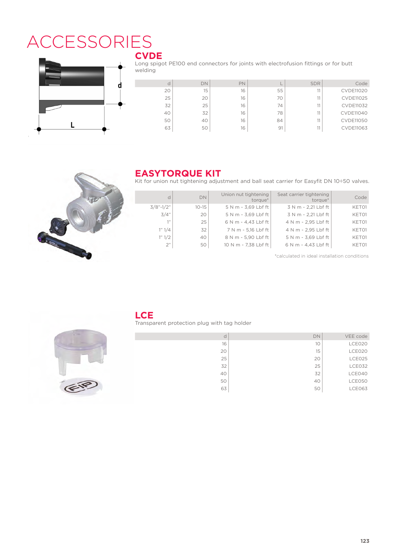### **ACCESSORIES CVDE**



Long spigot PE100 end connectors for joints with electrofusion fittings or for butt welding

| d  | <b>DN</b> | PN |    | <b>SDR</b> | Code             |
|----|-----------|----|----|------------|------------------|
| 20 | 15        | 16 | 55 | 11         | <b>CVDE11020</b> |
| 25 | 20        | 16 | 70 |            | <b>CVDE11025</b> |
| 32 | 25        | 16 | 74 |            | <b>CVDE11032</b> |
| 40 | 32        | 16 | 78 | 11         | <b>CVDE11040</b> |
| 50 | 40        | 16 | 84 | 11         | <b>CVDE11050</b> |
| 63 | 50        | 16 | 91 | 11         | <b>CVDE11063</b> |



#### **EASYTORQUE KIT**

Kit for union nut tightening adjustment and ball seat carrier for Easyfit DN 10÷50 valves.

| d            | DN        | Union nut tightening<br>torque* | Seat carrier tightening<br>torque* | Code  |
|--------------|-----------|---------------------------------|------------------------------------|-------|
| $3/8$ "-1/2" | $10 - 15$ | 5 N m - 3.69 Lbf ft             | 3 N m - 2.21 Lbf ft                | KET01 |
| 3/4"         | 20        | 5 N m - 3,69 Lbf ft             | 3 N m - 2,21 Lbf ft                | KET01 |
| 111          | 25        | 6 N m - 4.43 Lbf ft             | 4 N m - 2.95 Lbf ft                | KET01 |
| 1" 1/4       | 32        | 7 N m - 5.16 Lbf ft             | 4 N m - 2,95 Lbf ft                | KET01 |
| 1" 1/2       | 40        | 8 N m - 5,90 Lbf ft             | 5 N m - 3,69 Lbf ft                | KET01 |
| 2"           | 50        | 10 N m - 7.38 Lbf ft            | 6 N m - 4.43 Lbf ft                | KET01 |

\*calculated in ideal installation conditions



#### **LCE**

Transparent protection plug with tag holder

| C  | <b>DN</b> | VEE code |
|----|-----------|----------|
| 16 | 10        | LCE020   |
| 20 | 15        | LCE020   |
| 25 | 20        | LCE025   |
| 32 | 25        | LCE032   |
| 40 | 32        | LCE040   |
| 50 | 40        | LCE050   |
| 63 | 50        | LCE063   |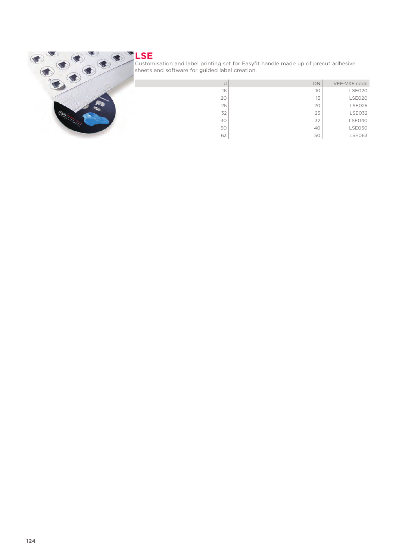

#### **LSE** Customisation and label printing set for Easyfit handle made up of precut adhesive sheets and software for guided label creation.

| d  | DN | VEE-VXE code  |
|----|----|---------------|
| 16 | 10 | LSE020        |
| 20 | 15 | <b>LSE020</b> |
| 25 | 20 | <b>LSE025</b> |
| 32 | 25 | <b>LSE032</b> |
| 40 | 32 | LSE040        |
| 50 | 40 | <b>LSE050</b> |
| 63 | 50 | <b>LSE063</b> |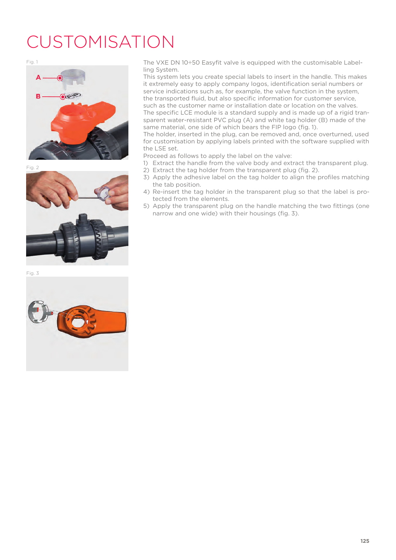## CUSTOMISATION







Fig. 3



Fig. 1 The VXE DN 10÷50 Easyfit valve is equipped with the customisable Labelling System.

This system lets you create special labels to insert in the handle. This makes it extremely easy to apply company logos, identification serial numbers or service indications such as, for example, the valve function in the system, the transported fluid, but also specific information for customer service, such as the customer name or installation date or location on the valves. The specific LCE module is a standard supply and is made up of a rigid transparent water-resistant PVC plug (A) and white tag holder (B) made of the same material, one side of which bears the FIP logo (fig. 1).

The holder, inserted in the plug, can be removed and, once overturned, used for customisation by applying labels printed with the software supplied with the LSE set.

Proceed as follows to apply the label on the valve:

- 1) Extract the handle from the valve body and extract the transparent plug.
- 2) Extract the tag holder from the transparent plug (fig. 2).
- 3) Apply the adhesive label on the tag holder to align the profiles matching the tab position.
- 4) Re-insert the tag holder in the transparent plug so that the label is protected from the elements.
- 5) Apply the transparent plug on the handle matching the two fittings (one narrow and one wide) with their housings (fig. 3).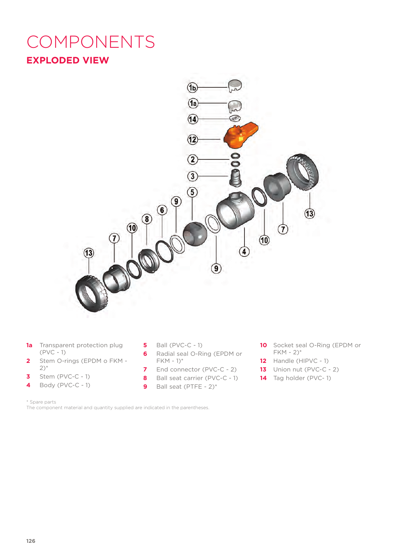### **EXPLODED VIEW** COMPONENTS



- **1a** Transparent protection plug (PVC - 1)
- **2** Stem O-rings (EPDM o FKM 2)\*
- **3** Stem (PVC-C 1)
- **4** Body (PVC-C 1)
- **5** Ball (PVC-C 1)
- **6** Radial seal O-Ring (EPDM or FKM - 1)\*
- **7** End connector (PVC-C 2)
- **8** Ball seat carrier (PVC-C 1)
- **9** Ball seat (PTFE 2)\*
- **10** Socket seal O-Ring (EPDM or  $FKM - 2)$ \*
- **12** Handle (HIPVC 1)
- **13** Union nut (PVC-C 2)
- **14** Tag holder (PVC- 1)

The component material and quantity supplied are indicated in the parentheses.

<sup>\*</sup> Spare parts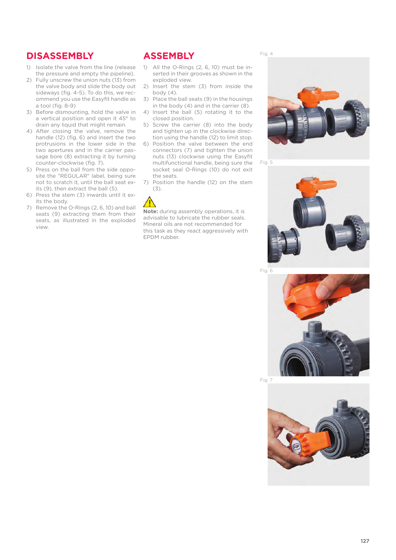#### **DISASSEMBLY**

- 1) Isolate the valve from the line (release the pressure and empty the pipeline).
- 2) Fully unscrew the union nuts (13) from the valve body and slide the body out sideways (fig. 4-5). To do this, we recommend you use the Easyfit handle as a tool (fig. 8-9)
- 3) Before dismounting, hold the valve in a vertical position and open it 45° to drain any liquid that might remain.
- 4) After closing the valve, remove the handle (12) (fig. 6) and insert the two protrusions in the lower side in the two apertures and in the carrier passage bore (8) extracting it by turning counter-clockwise (fig. 7).
- 5) Press on the ball from the side opposite the "REGULAR" label, being sure not to scratch it, until the ball seat exits (9), then extract the ball (5).
- 6) Press the stem (3) inwards until it exits the body.
- 7) Remove the O-Rings (2, 6, 10) and ball seats (9) extracting them from their seats, as illustrated in the exploded view.

#### **ASSEMBLY**

- 1) All the O-Rings (2, 6, 10) must be inserted in their grooves as shown in the exploded view.
- 2) Insert the stem (3) from inside the body (4).
- 3) Place the ball seats (9) in the housings in the body (4) and in the carrier (8).
- 4) Insert the ball (5) rotating it to the closed position.
- 5) Screw the carrier (8) into the body and tighten up in the clockwise direction using the handle (12) to limit stop.
- 6) Position the valve between the end connectors (7) and tighten the union nuts (13) clockwise using the Easyfit multifunctional handle, being sure the socket seal O-Rings (10) do not exit the seats.
- 7) Position the handle (12) on the stem (3).



**Note:** during assembly operations, it is advisable to lubricate the rubber seals. Mineral oils are not recommended for this task as they react aggressively with EPDM rubber.

Fig. 4



Fig. 5



Fig. 6



Fig. 7